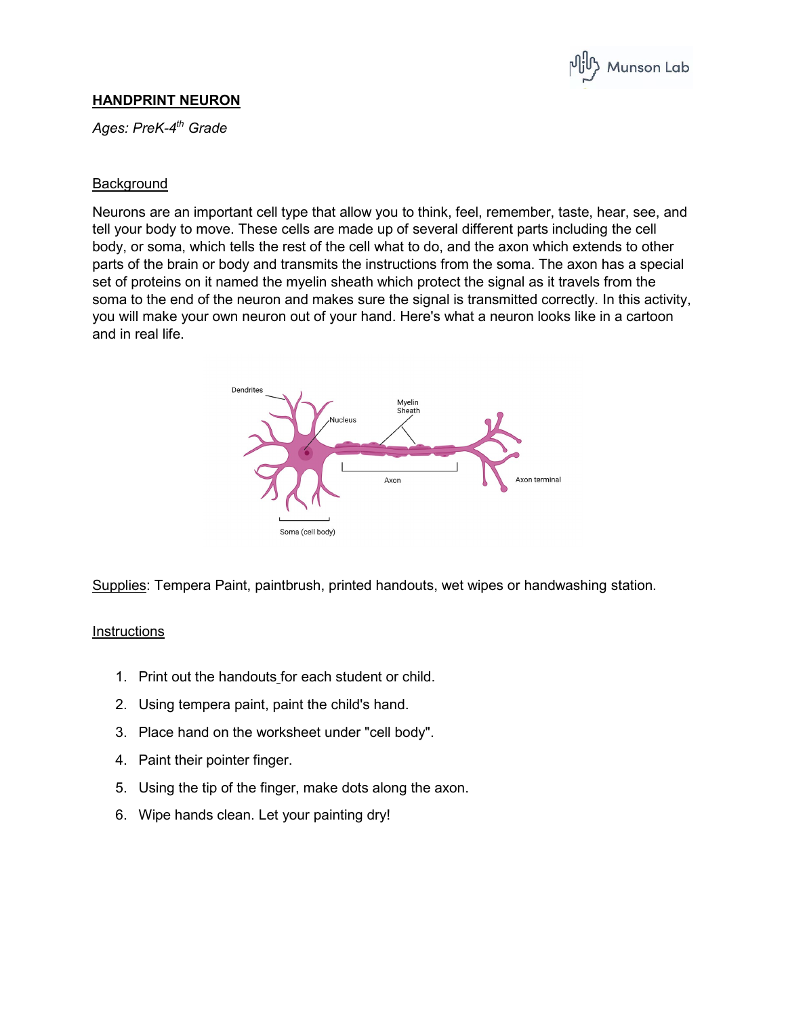

## **HANDPRINT NEURON**

*Ages: PreK-4th Grade*

## **Background**

Neurons are an important cell type that allow you to think, feel, remember, taste, hear, see, and tell your body to move. These cells are made up of several different parts including the cell body, or soma, which tells the rest of the cell what to do, and the axon which extends to other parts of the brain or body and transmits the instructions from the soma. The axon has a special set of proteins on it named the myelin sheath which protect the signal as it travels from the soma to the end of the neuron and makes sure the signal is transmitted correctly. In this activity, you will make your own neuron out of your hand. Here's what a neuron looks like in a cartoon and in real life.



Supplies: Tempera Paint, paintbrush, printed handouts, wet wipes or handwashing station.

## **Instructions**

- 1. Print out the handouts for each student or child.
- 2. Using tempera paint, paint the child's hand.
- 3. Place hand on the worksheet under "cell body".
- 4. Paint their pointer finger.
- 5. Using the tip of the finger, make dots along the axon.
- 6. Wipe hands clean. Let your painting dry!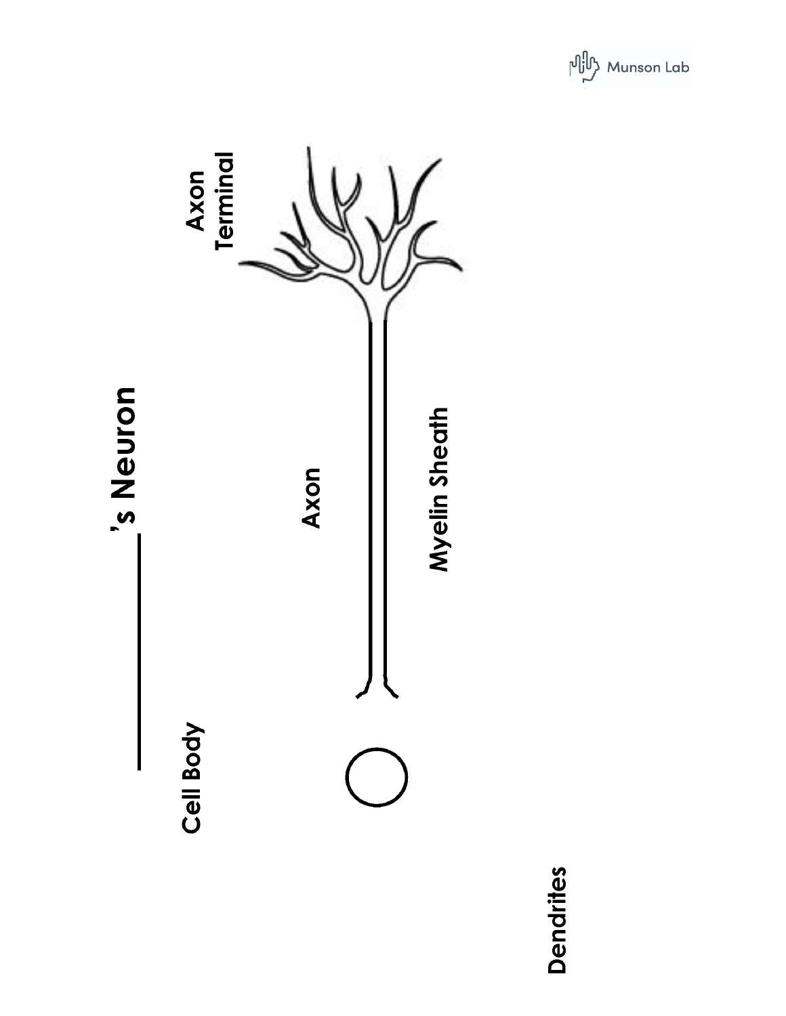



Dendrites